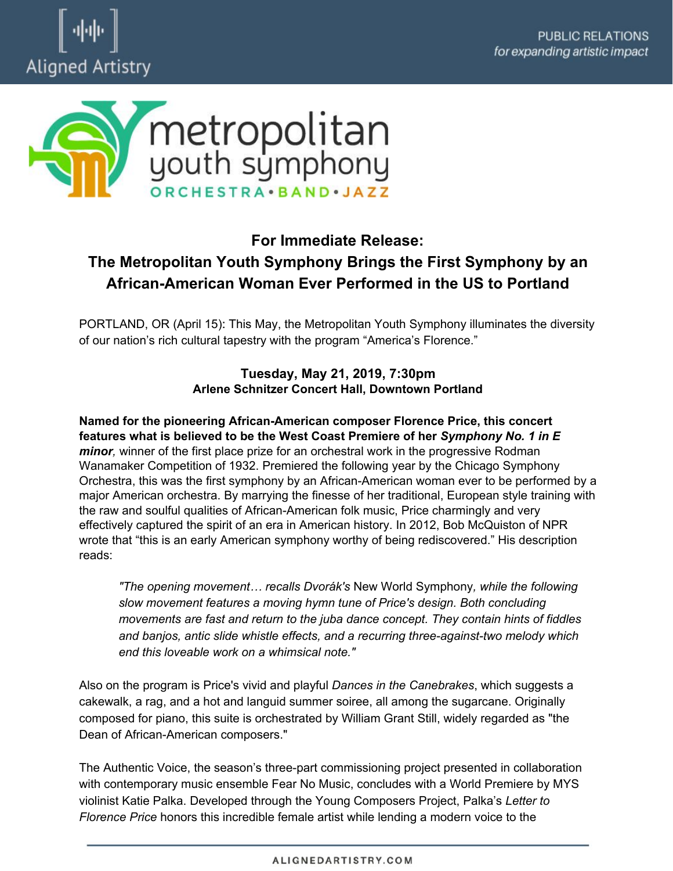



## **For Immediate Release: The Metropolitan Youth Symphony Brings the First Symphony by an African-American Woman Ever Performed in the US to Portland**

PORTLAND, OR (April 15): This May, the Metropolitan Youth Symphony illuminates the diversity of our nation's rich cultural tapestry with the program "America's Florence."

## **Tuesday, May 21, 2019, 7:30pm Arlene Schnitzer Concert Hall, Downtown Portland**

**Named for the pioneering African-American composer Florence Price, this concert features what is believed to be the West Coast Premiere of her** *Symphony No. 1 in E minor,* winner of the first place prize for an orchestral work in the progressive Rodman Wanamaker Competition of 1932. Premiered the following year by the Chicago Symphony Orchestra, this was the first symphony by an African-American woman ever to be performed by a major American orchestra. By marrying the finesse of her traditional, European style training with the raw and soulful qualities of African-American folk music, Price charmingly and very effectively captured the spirit of an era in American history. In 2012, Bob McQuiston of NPR wrote that "this is an early American symphony worthy of being rediscovered." His description reads:

*"The opening movement… recalls Dvorák's* New World Symphony*, while the following slow movement features a moving hymn tune of Price's design. Both concluding movements are fast and return to the juba dance concept. They contain hints of fiddles and banjos, antic slide whistle effects, and a recurring three-against-two melody which end this loveable work on a whimsical note."* 

Also on the program is Price's vivid and playful *Dances in the Canebrakes*, which suggests a cakewalk, a rag, and a hot and languid summer soiree, all among the sugarcane. Originally composed for piano, this suite is orchestrated by William Grant Still, widely regarded as "the Dean of African-American composers."

The Authentic Voice, the season's three-part commissioning project presented in collaboration with contemporary music ensemble Fear No Music, concludes with a World Premiere by MYS violinist Katie Palka. Developed through the Young Composers Project, Palka's *Letter to Florence Price* honors this incredible female artist while lending a modern voice to the